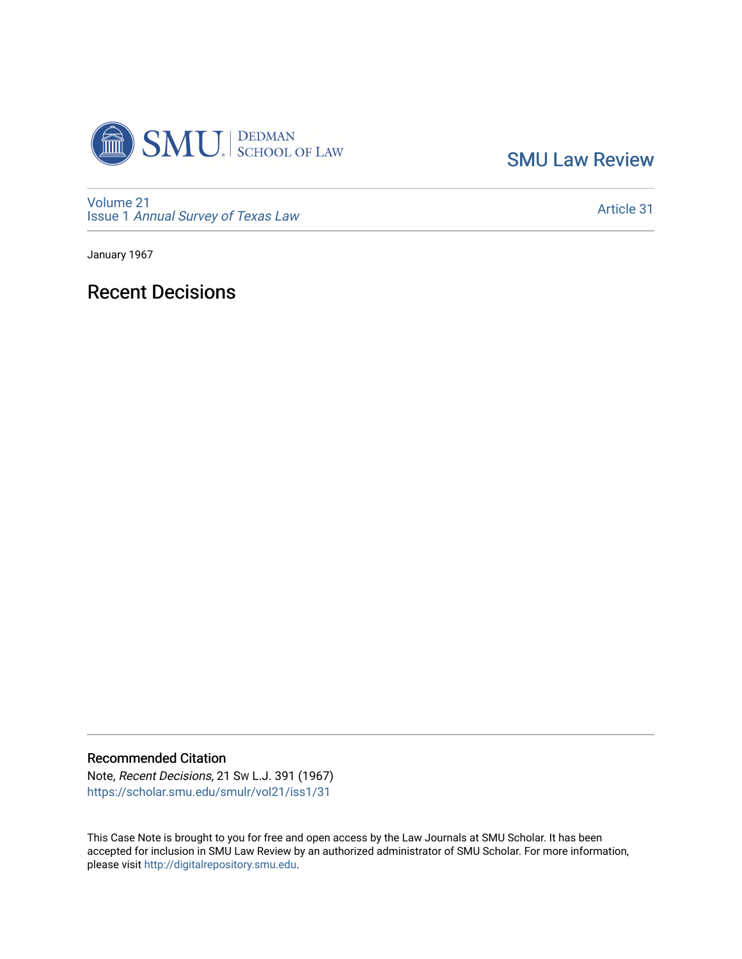

[SMU Law Review](https://scholar.smu.edu/smulr) 

[Volume 21](https://scholar.smu.edu/smulr/vol21) Issue 1 [Annual Survey of Texas Law](https://scholar.smu.edu/smulr/vol21/iss1) 

[Article 31](https://scholar.smu.edu/smulr/vol21/iss1/31) 

January 1967

# Recent Decisions

Recommended Citation

Note, Recent Decisions, 21 SW L.J. 391 (1967) [https://scholar.smu.edu/smulr/vol21/iss1/31](https://scholar.smu.edu/smulr/vol21/iss1/31?utm_source=scholar.smu.edu%2Fsmulr%2Fvol21%2Fiss1%2F31&utm_medium=PDF&utm_campaign=PDFCoverPages)

This Case Note is brought to you for free and open access by the Law Journals at SMU Scholar. It has been accepted for inclusion in SMU Law Review by an authorized administrator of SMU Scholar. For more information, please visit [http://digitalrepository.smu.edu.](http://digitalrepository.smu.edu/)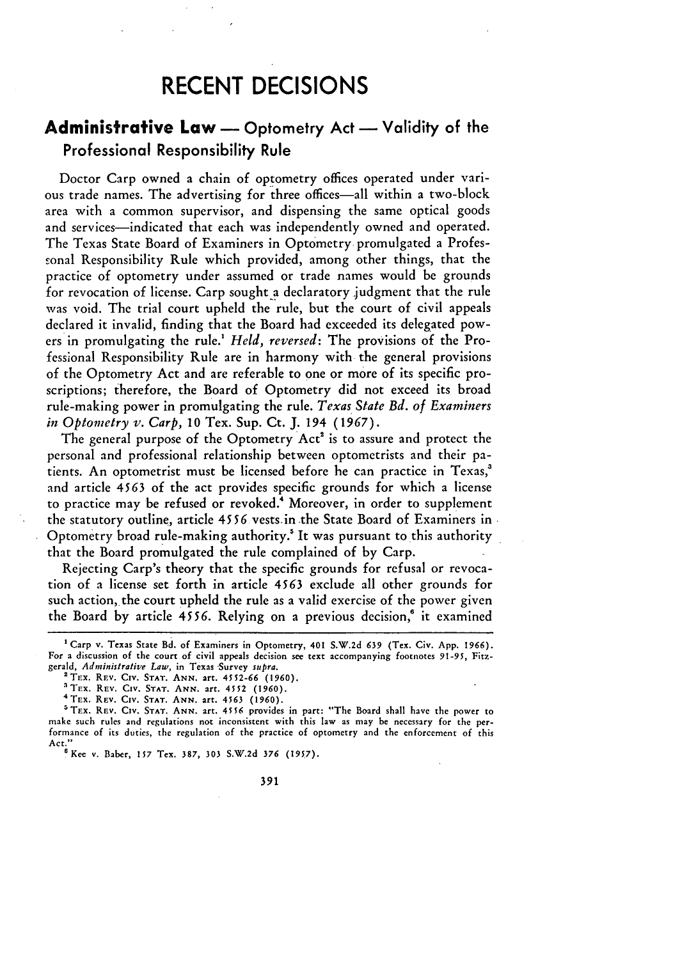# **RECENT DECISIONS**

## **Administrative Law -** Optometry Act **-** Validity of the Professional Responsibility Rule

Doctor Carp owned a chain of optometry offices operated under various trade names. The advertising for three offices-all within a two-block area with a common supervisor, and dispensing the same optical goods and services-indicated that each was independently owned and operated. The Texas State Board of Examiners in Optometry promulgated a Professonal Responsibility Rule which provided, among other things, that the practice of optometry under assumed or trade names would be grounds for revocation of license. Carp sought a declaratory judgment that the rule was void. The trial court upheld the rule, but the court of civil appeals declared it invalid, finding that the Board had exceeded its delegated powers in promulgating the rule.' *Held, reversed:* The provisions of the Professional Responsibility Rule are in harmony with the general provisions **of** the Optometry Act and are referable to one or more of its specific proscriptions; therefore, the Board of Optometry did not exceed its broad rule-making power in promulgating the rule. *Texas State Bd. of Examiners in Optometry v. Carp,* 10 Tex. Sup. Ct. J. 194 (1967).

The general purpose of the Optometry Act' is to assure and protect the personal and professional relationship between optometrists and their patients. An optometrist must be licensed before he can practice in Texas,' and article **4563** of the act provides specific grounds for which a license to practice may be refused or revoked.<sup>4</sup> Moreover, in order to supplement the statutory outline, article 4556 vests.in the State Board of Examiners in Optometry broad rule-making authority.! It was pursuant to this authority that the Board promulgated the rule complained of by Carp.

Rejecting Carp's theory that the specific grounds for refusal or revocation of a license set forth in article 4563 exclude all other grounds for such action, the court upheld the rule as a valid exercise of the power given the Board by article *4556.* Relying on a previous decision,' it examined

'Trx. REV. **Civ. STAT. ANN.** art. 4552-66 **(1960).**

<sup>&#</sup>x27;Carp **v.** Texas State **Bd.** of Examiners in Optometry, 401 **S.W.2d** 639 (Tex. Civ. App. 1966). For a discussion **of** the **court of** civil appeals decision see text accompanying footnotes 91-95, Fitzgerald, *Administrative Law*, in Texas Survey *supra*.

<sup>&</sup>lt;sup>4</sup> TEX. REV. CIV. STAT. ANN. 21t. 4563 (1960).<br><sup>5</sup> TEX. REV. CIV. STAT. ANN. 21t. 4556 provides in part: "The Board shall have the power to make such rules and regulations not inconsistent with this law as may be necessary for the performance of its duties, the regulation of the practice of optometry and the enforcement of this Act."'Kee v. Baber, **157** Tex. 387, **303 S.W.2d** *376 (1957).*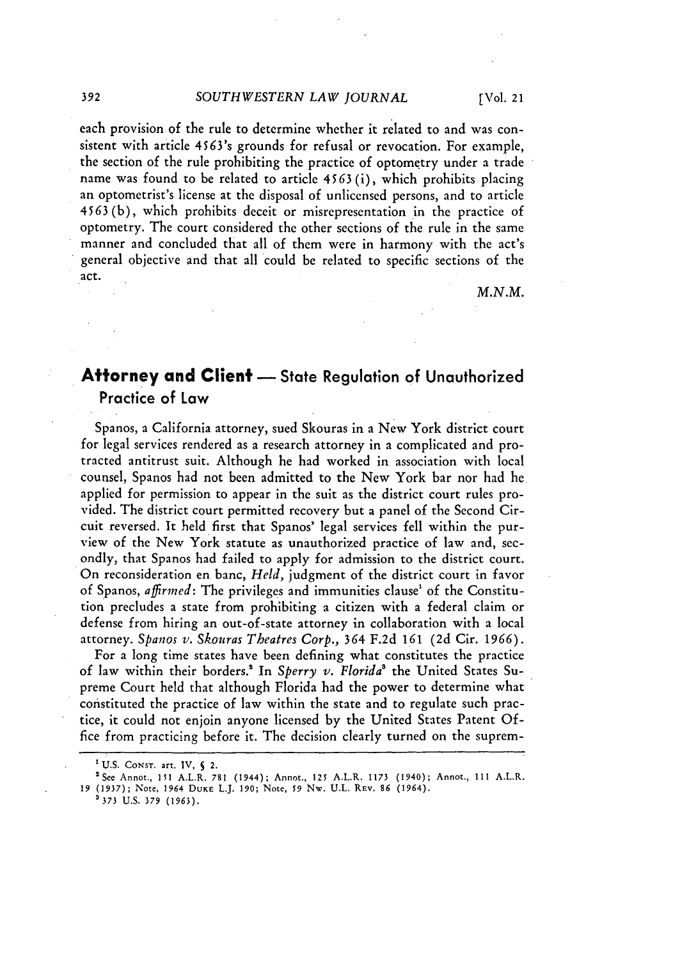each provision of the rule to determine whether it related to and was consistent with article 4563's grounds for refusal or revocation. For example, the section of the rule prohibiting the practice of optometry under a trade name was found to be related to article 4563 (i), which prohibits placing an optometrist's license at the disposal of unlicensed persons, and to article 4563 (b), which prohibits deceit or misrepresentation in the practice of optometry. The court considered the other sections of the rule in the same manner and concluded that all of them were in harmony with the act's general objective and that all could be related to specific sections of the act.

*M.N.M.*

### **Attorney and Client -** State Regulation **of** Unauthorized Practice of Law

Spanos, a California attorney, sued Skouras in a New York district court for legal services rendered as a research attorney in a complicated and protracted antitrust suit. Although he had worked in association with local counsel, Spanos had not been admitted to the New York bar nor had he applied for permission to appear in the suit as the district court rules provided. The district court permitted recovery but a panel of the Second Circuit reversed. It held first that Spanos' legal services fell within the purview of the New York statute as unauthorized practice of law and, secondly, that Spanos had failed to apply for admission to the district court. On reconsideration en banc, *Held,* judgment of the district court in favor of Spanos, *affirmed:* The privileges and immunities clause' of the Constitution precludes a state from prohibiting a citizen with a federal claim or defense from hiring an out-of-state attorney in collaboration with a local attorney. *Spanos v. Skouras Theatres Corp.,* 364 F.2d *161* (2d Cir. 1966).

For a long time states have been defining what constitutes the practice of law within their borders.! In *Sperry v. Florida'* the United States Supreme Court held that although Florida had the power to determine what constituted the practice of law within the state and to regulate such practice, it could not enjoin anyone licensed by the United States Patent Office from practicing before it. The decision clearly turned on the suprem-

**3373 U.S.** 379 **(1963).**

**<sup>I</sup>**U.S. CONST. art. IV, **S** 2. 2 See Annot,, **151** A.L.R. 781 (1944); Annot., 125 A.L.R. 1173 (1940); Annot., 111 A.LR. 19 (1937); Note, 1964 **DUKE** L.J. 190; Note, **59 Nw.** U.L. Rev. **86** (1964).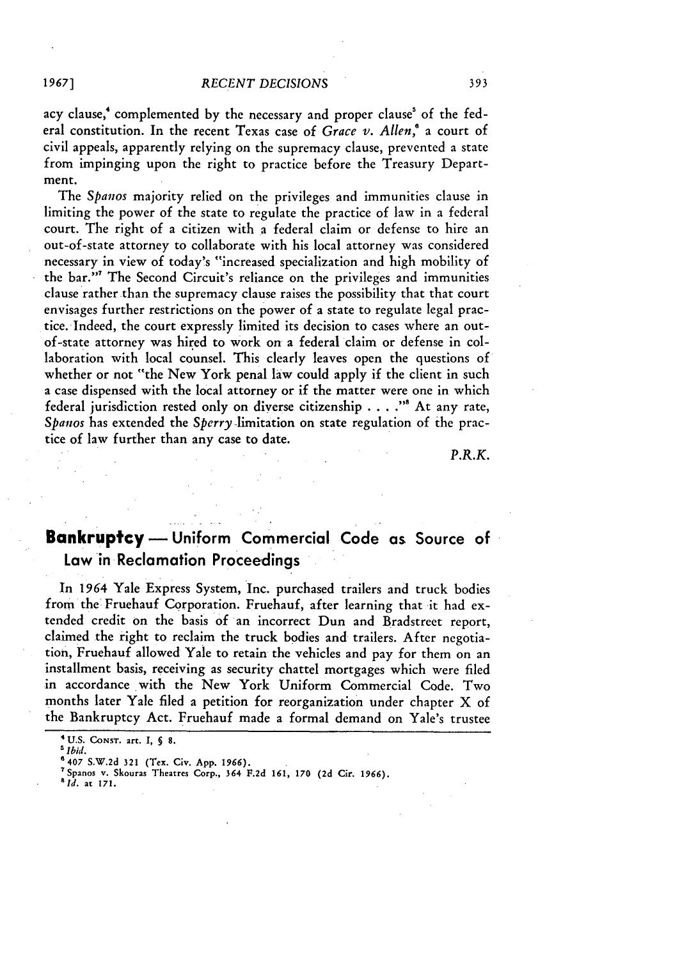acy clause,<sup>4</sup> complemented by the necessary and proper clause<sup>5</sup> of the federal constitution. In the recent Texas case of *Grace v. Allen*,<sup>6</sup> a court of civil appeals, apparently relying on the supremacy clause, prevented a state from impinging upon the right to practice before the Treasury Department.

*The Spanos* majority relied on the privileges and immunities clause in limiting the power of the state to regulate the practice of law in a federal court. The right of a citizen with a federal claim or defense to hire an out-of-state attorney to collaborate with his local attorney was considered necessary in view of today's "increased specialization and high mobility of the bar."" The Second Circuit's reliance on the privileges and immunities clause rather than the supremacy clause raises the possibility that that court envisages further restrictions on the power of a state to regulate legal practice. Indeed, the court expressly limited its decision to cases where an outof-state attorney was hired to work on a federal claim or defense in collaboration with local counsel. This clearly leaves open the questions of whether or not "the New York penal law could apply if the client in such a case dispensed with the local attorney or if the matter were one in which federal jurisdiction rested only on diverse citizenship . **. . .",** At any rate, *Spanos* has extended the *Sperry* -limitation on state regulation of the practice of law further than any case to date.

*P.R.K.*

### **Bankruptcy** - Uniform Commercial Code as Source of Law in Reclamation Proceedings

In 1964 Yale Express System, Inc. purchased trailers and truck bodies from the Fruehauf Corporation. Fruehauf, after learning that **it** had extended credit on the basis of an incorrect Dun and Bradstreet report, claimed the right to reclaim the truck bodies and trailers. After negotiation, Fruehauf allowed Yale to retain the vehicles and pay for them on an installment basis, receiving as security chattel mortgages which were filed in accordance with the New York Uniform Commercial Code. Two months later Yale filed a petition for reorganization under chapter X of the Bankruptcy Act. Fruehauf made a formal demand on Yale's trustee

*'Id.* at **171.**

**<sup>&#</sup>x27;U.S. CONST. art. 1, § 8.**

*<sup>-</sup> Ibid.*

**<sup>6407</sup> S.W.2d 321** (Tex. Civ. **App. 1966).** <sup>7</sup> Spanos **v.** Skouras Theatres Corp., 364 **F.2d 161,** *170* **(2d** Cir. **1966).**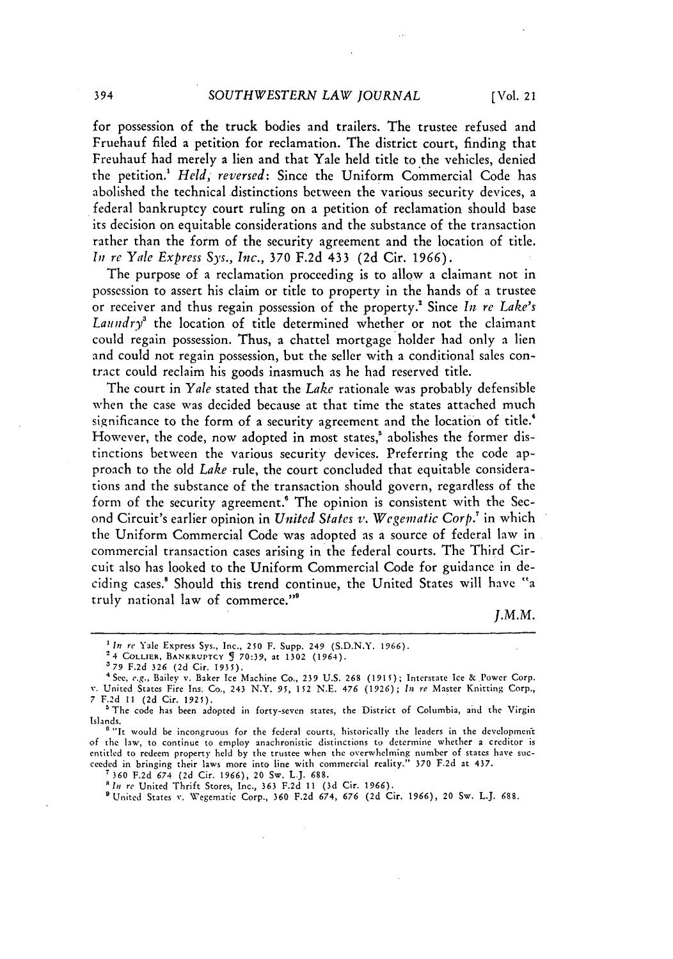for possession of the truck bodies and trailers. The trustee refused and Fruehauf filed a petition for reclamation. The district court, finding that Freuhauf had merely a lien and that Yale held title to the vehicles, denied the petition.' *Held, reversed:* Since the Uniform Commercial Code has abolished the technical distinctions between the various security devices, a federal bankruptcy court ruling on a petition of reclamation should base its decision on equitable considerations and the substance of the transaction rather than the form of the security agreement and the location of title. *In re Yale Express Sys., Inc.,* **370** F.2d 433 (2d Cir. 1966).

The purpose of a reclamation proceeding is to allow a claimant not in possession to assert his claim or title to property in the hands of a trustee or receiver and thus regain possession of the property." Since *In re Lake's Laundry*<sup>3</sup> the location of title determined whether or not the claimant could regain possession. Thus, a chattel mortgage holder had only a lien and could not regain possession, but the seller with a conditional sales contract could reclaim his goods inasmuch as he had reserved title.

The court in *Yale* stated that the *Lake* rationale was probably defensible when the case was decided because at that time the states attached much significance to the form of a security agreement and the location of title.<sup>4</sup> However, the code, now adopted in most states,<sup>5</sup> abolishes the former distinctions between the various security devices. Preferring the code approach to the old *Lake* rule, the court concluded that equitable considerations and the substance of the transaction should govern, regardless of the form of the security agreement.' The opinion is consistent with the Second Circuit's earlier opinion in *United States v. Wegematic Corp.'* in which the Uniform Commercial Code was adopted as a source of federal law in commercial transaction cases arising in the federal courts. The Third Circuit also has looked to the Uniform Commercial Code for guidance in deciding cases.! Should this trend continue, the United States will have "a truly national law of commerce. '

*J.M.M.*

**<sup>2</sup>**4 COLLIER, BANKRUPTCY **5 70:39,** at **1302** (1964).

I'United States v. Wegematic Corp., **360** F.2d 674, 676 **(2d** Cir. 1966), 20 Sw. L.J. *688.*

*In re* Yale Express Sys., Inc., 250 F. Supp. 249 (S.D.N.Y. 1966).

**<sup>379</sup>** F.2d 326 **(2d** Cir. 1935).

<sup>4</sup> See, *e.g.,* Bailey v. Baker Ice Machine Co., 239 **U.S.** 268 (1915); Interstate Ice & Power Corp. v. United States Fire Ins. Co., 243 N.Y. *95,* 152 N.E. 476 (1926); *In re* Master Knitting Corp., **7 F.2d 11 (2d** Cir. 1925). The code has been adopted in forty-seven states, the District of Columbia, and the Virgin

Islands.

<sup>&</sup>lt;sup>6</sup> "It would be incongruous for the federal courts, historically the leaders in the development of the law, to continue to employ anachronistic distinctions to determine whether a creditor is entitled to redeem property held by the trustee when the overwhelming number of states have succeeded in bringing their laws more into line with commercial reality." 370 F.2d at 437.

**<sup>7360</sup> F.2d** 674 (2d Cir. 1966), 20 Sw. L.J. **688.**

*lsn re* United Thrift Stores, Inc., 363 F.2d **11** (3d Cir. 1966).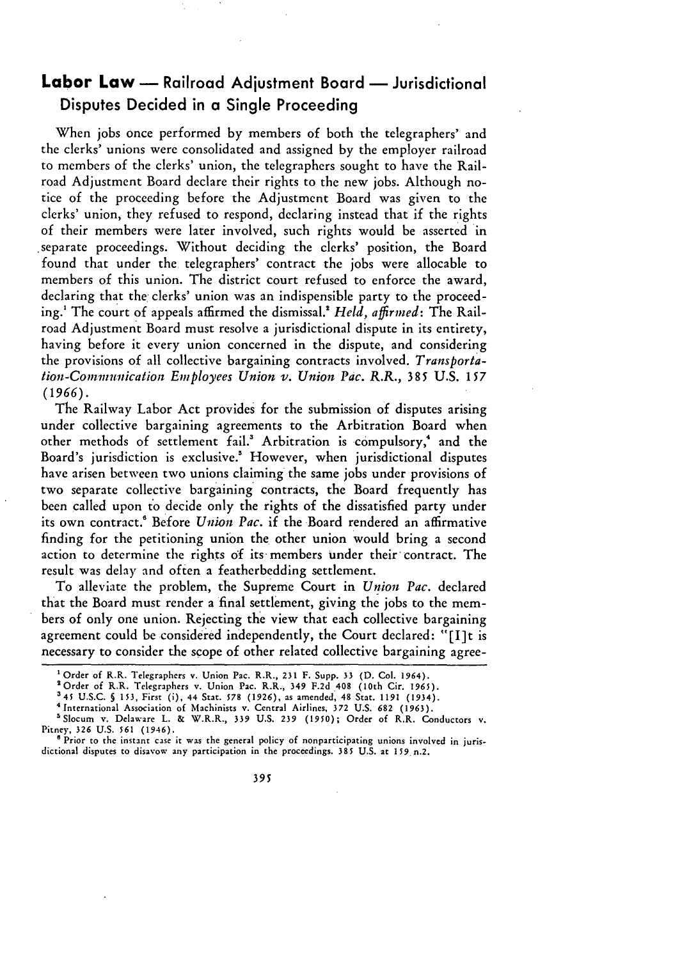## **Labor Law -** Railroad Adjustment Board **-** Jurisdictional Disputes Decided in a Single Proceeding

When jobs once performed by members of both the telegraphers' and the clerks' unions were consolidated and assigned by the employer railroad to members of the clerks' union, the telegraphers sought to have the Railroad Adjustment Board declare their rights to the new jobs. Although notice of the proceeding before the Adjustment Board was given to the clerks' union, they refused to respond, declaring instead that if the rights of their members were later involved, such rights would be asserted in .separate proceedings. Without deciding the clerks' position, the Board found that under the telegraphers' contract the jobs were allocable to members of this union. The district court refused to enforce the award, declaring that the clerks' union was an indispensible party to the proceeding.1 The court of appeals affirmed the dismissal.! *Held, affirned:* The Railroad Adjustment Board must resolve a jurisdictional dispute in its entirety, having before it every union concerned in the dispute, and considering the provisions of all collective bargaining contracts involved. *Transporta*tion-Conmnunication *Einployees Union v. Union Pac. R.R.,* **385** U.S. 157 *(1966).*

The Railway Labor Act provides for the submission of disputes arising under collective bargaining agreements to the Arbitration Board when other methods of settlement fail.<sup>3</sup> Arbitration is compulsory,<sup>4</sup> and the Board's jurisdiction is exclusive.<sup>5</sup> However, when jurisdictional disputes have arisen between two unions claiming the same jobs under provisions of two separate collective bargaining contracts, the Board frequently has been called upon to decide only the rights of the dissatisfied party under its own contract." Before *Union Pac.* if the Board rendered an affirmative finding for the petitioning union the other union would bring a second action to determine the rights of its members under their contract. The result was delay and often a featherbedding settlement.

To alleviate the problem, the Supreme Court in *Union Pac.* declared that the Board must render a final settlement, giving the jobs to the members of only one union. Rejecting the view that each collective bargaining agreement could be considered independently, the Court declared: "[I]t is necessary to consider the scope of other related collective bargaining agree-

*<sup>&#</sup>x27;* Order of R.R. Telegraphers v. Union Pac. R.R., 231 F. Supp. **33** (D. Col. **1964).**

<sup>&</sup>lt;sup>2</sup> Order of R.R. Telegraphers v. Union Pac. R.R., 349 F.2d 408 (10th Cir. 1965).<br><sup>3</sup> 45 U.S.C. § 153, First (i), 44 Stat. 578 (1926), as amended, 48 Stat. 1191 (1934).

<sup>&</sup>lt;sup>4</sup> International Association of Machinists v. Central Airlines, 372 U.S. 682 (1963).

<sup>&#</sup>x27;Slocum v. Delaware L. & W.R.R., 339 U.S. 239 **(1950);** Order of R.R. Conductors v. Pitney, **326** U.S. **561** (1946).

<sup>&</sup>lt;sup>8</sup> Prior to the instant case it was the general policy of nonparticipating unions involved in jurisdictional disputes to disavow any participation in the proceedings. 385 U.S. at 159 n.2.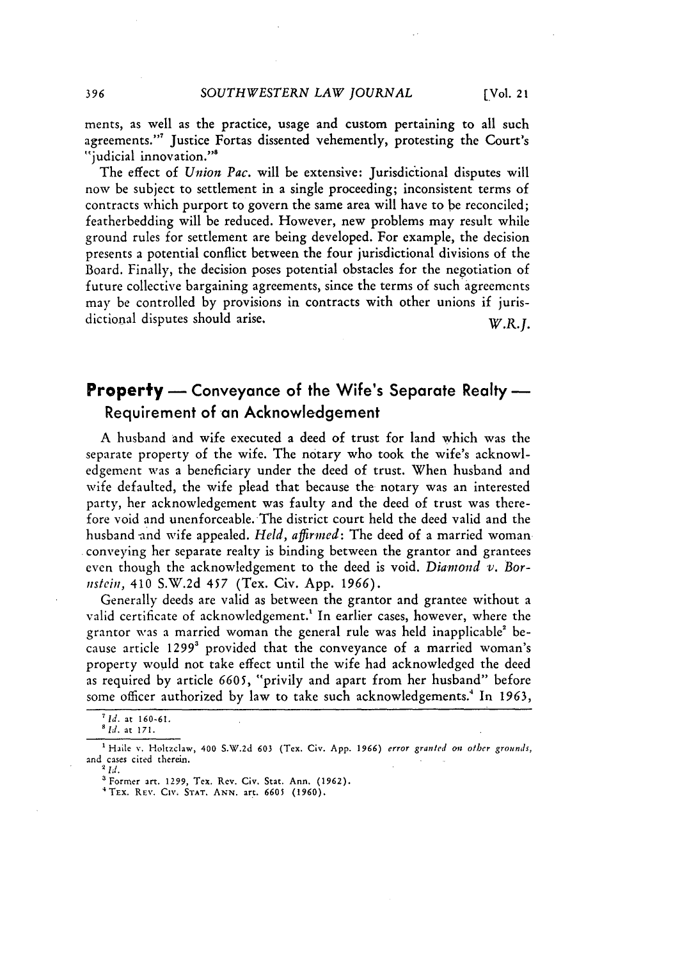ments, as well as the practice, usage and custom pertaining to all such agreements."' Justice Fortas dissented vehemently, protesting the Court's "judicial innovation."<sup>8</sup>

The effect of *Union Pac.* will be extensive: Jurisdictional disputes will now be subject to settlement in a single proceeding; inconsistent terms of contracts which purport to govern the same area will have to be reconciled; featherbedding will be reduced. However, new problems may result while ground rules for settlement are being developed. For example, the decision presents a potential conflict between the four jurisdictional divisions of the Board. Finally, the decision poses potential obstacles for the negotiation **of** future collective bargaining agreements, since the terms of such agreements may be controlled by provisions in contracts with other unions if jurisdictional disputes should arise. W.R.J.

### **Property** — Conveyance of the Wife's Separate Realty — Requirement of an Acknowledgement

A husband and wife executed a deed of trust for land which was the separate property of the wife. The notary who took the wife's acknowledgement was a beneficiary under the deed of trust. When husband and wife defaulted, the wife plead that because the notary was an interested party, her acknowledgement was faulty and the deed of trust was therefore void and unenforceable. The district court held the deed valid and the husband and wife appealed. *Held, affirmed*: The deed of a married woman conveying her separate realty is binding between the grantor and grantees even though the acknowledgement to the deed is void. *Diamond* **v.** *Bornistein,* 410 S.W.2d *457* (Tex. Civ. App. 1966).

Generally deeds are valid as between the grantor and grantee without a valid certificate of acknowledgement.' In earlier cases, however, where the grantor was a married woman the general rule was held inapplicable' because article 1299<sup>3</sup> provided that the conveyance of a married woman's property would not take effect until the wife had acknowledged the deed as required by article *6605,* "privily and apart from her husband" before some officer authorized by law to take such acknowledgements.<sup>4</sup> In 1963,

*lid.* at **160-61.**

*Ild.* at **171.**

**<sup>1</sup>** Haile v. Holtzclaw, 400 S.W.2d **603** (Tex. Civ. App. **1966)** error granted *on* other grounds, and cases cited therein.

a Former art. **1299,** Tex. Rev. Civ. Stat. Ann. **(1962).**

<sup>&#</sup>x27;TEx. RE'. **CIx. STAT. ANN.** art. **6605 (1960).**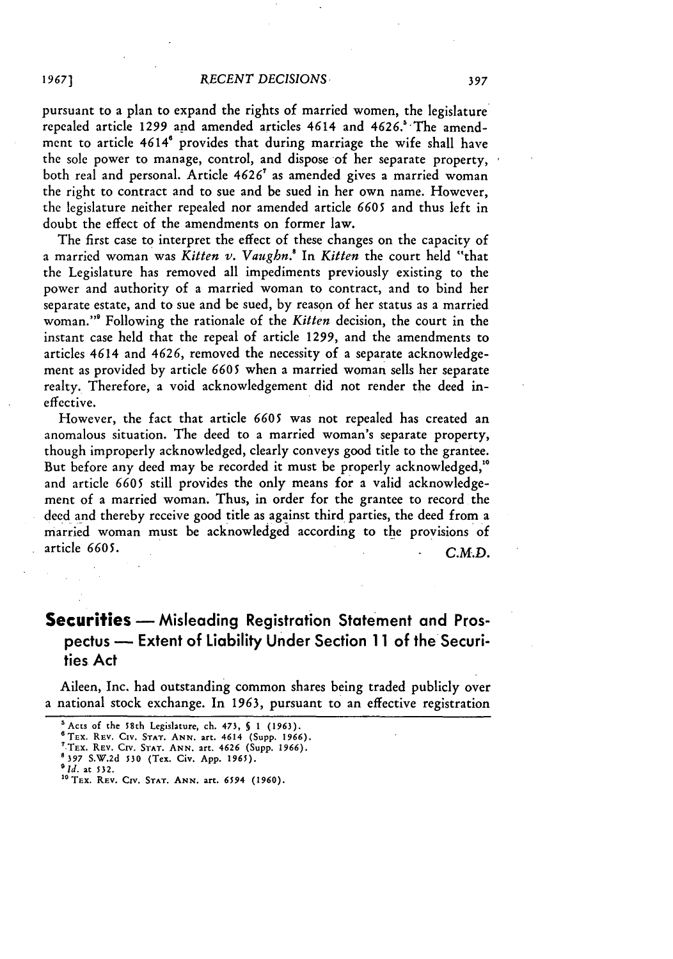pursuant to a plan to expand the rights of married women, the legislature repealed article 1299 and amended articles 4614 and 4626.' The amendment to article 4614<sup>°</sup> provides that during marriage the wife shall have the sole power to manage, control, and dispose of her separate property, both real and personal. Article 4626' as amended gives a married woman the right to contract and to sue and be sued in her own name. However, the legislature neither repealed nor amended article 6605 and thus left in doubt the effect of the amendments on former law.

The first case to interpret the effect of these changes on the capacity of a married woman was *Kitten v. Vaughn.!* In *Kitten* the court held "that the Legislature has removed all impediments previously existing to the power and authority of a married woman to contract, and to bind her separate estate, and to sue and be sued, by reason of her status as a married woman."' Following the rationale of the *Kitten* decision, the court in the instant case held that the repeal of article 1299, and the amendments to articles 4614 and 4626, removed the necessity of a separate acknowledgement as provided by article 6605 when a married woman sells her separate realty. Therefore, a void acknowledgement did not render the deed ineffective.

However, the fact that article 6605 was not repealed has created an anomalous situation. The deed to a married woman's separate property, though improperly acknowledged, clearly conveys good title to the grantee. But before any deed may be recorded it must be properly acknowledged,<sup>10</sup> and article 6605 still provides the only means for a valid acknowledgement of a married woman. Thus, in order for the grantee to record the deed and thereby receive good title as against third parties, the deed from a married woman must be acknowledged according to the provisions of article 6605. *C.M.D.*

#### **Securities** - Misleading Registration Statement and Prospectus **-** Extent of Liability Under Section **11** of the Securities Act

Aileen, Inc. had outstanding common shares being traded publicly over a national stock exchange. In 1963, pursuant to an effective registration

<sup>&#</sup>x27;Acts **of** the 58th Legislature, ch. 473, S **1 (1963).**

<sup>6</sup>TEx. REV. **Civ. STAT. ANN.** art. 4614 (Supp. **1966).** 'TEx. REV. **Cirv. STAT. ANN.** art. 4626 (Supp. **1966).**

**<sup>397</sup>** S.W.2d **530 (Tex.** Civ. **App.** *1965).*

*Rid.* at **532.**

**<sup>&#</sup>x27; <sup>0</sup> TEx.** REV. **CIV. STAT. ANN.** art. *6594* **(1960).**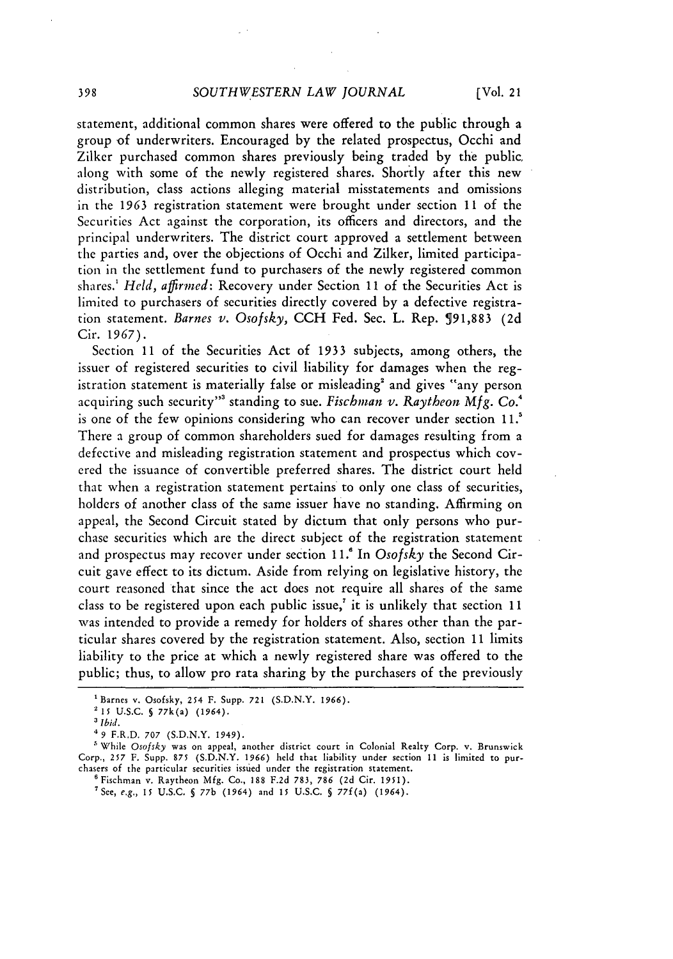statement, additional common shares were offered to the public through a group of underwriters. Encouraged by the related prospectus, Occhi and Zilker purchased common shares previously being traded by the public along with some of the newly registered shares. Shortly after this new distribution, class actions alleging material misstatements and omissions in the 1963 registration statement were brought under section 11 of the Securities Act against the corporation, its officers and directors, and the principal underwriters. The district court approved a settlement between the parties and, over the objections of Occhi and Zilker, limited participation in the settlement fund to purchasers of the newly registered common shares.' *Held, affirmed:* Recovery under Section **11** of the Securities Act is limited to purchasers of securities directly covered by a defective registration statement. *Barnes v. Osofsky,* CCH Fed. Sec. L. Rep. **591,883** (2d Cir. 1967).

Section **11** of the Securities Act of 1933 subjects, among others, the issuer of registered securities to civil liability for damages when the registration statement is materially false or misleading' and gives "any person acquiring such security"3 standing to sue. *Fischman v. Raytheon Mfg. Co.4* is one of the few opinions considering who can recover under section 11.' There a group of common shareholders sued for damages resulting from a defective and misleading registration statement and prospectus which covered the issuance of convertible preferred shares. The district court held that when a registration statement pertains to only one class of securities, holders of another class of the same issuer have no standing. Affirming on appeal, the Second Circuit stated by dictum that only persons who purchase securities which are the direct subject of the registration statement and prospectus may recover under section 11.' In *Osofsky* the Second Circuit gave effect to its dictum. Aside from relying on legislative history, the court reasoned that since the act does not require all shares of the same class to be registered upon each public issue,<sup> $\tau$ </sup> it is unlikely that section 11 was intended to provide a remedy for holders of shares other than the particular shares covered by the registration statement. Also, section 11 limits liability to the price at which a newly registered share was offered to the public; thus, to allow pro rata sharing by the purchasers of the previously

<sup>&#</sup>x27;Barnes v. Osofsky, 254 F. Supp. **721** (S.D.N.Y. **1966).**

**<sup>2</sup>1** U.S.C. **§** 77k(a) (1964).

*<sup>&#</sup>x27; Ibid.*

**<sup>49</sup>** F.R.D. **707** (S.D.N.Y. 1949).

<sup>&#</sup>x27;While *Osofsky* was on appeal, another district court in Colonial Realty Corp. v. Brunswick Corp., 257 F. Supp. **875** (S.D.N.Y. **1966)** held that liability under section 11 is limited to purchasers of the particular securities issued under the registration statement.

**<sup>&#</sup>x27;** Fischman v. Raytheon **Mfg.** Co., **188** F.2d 783, **786** (2d Cir. **1951).**

<sup>7</sup>See, *e.g., 15* U.S.C. **§** 77b (1964) and **15 U.S.C.** § 77f(a) (1964).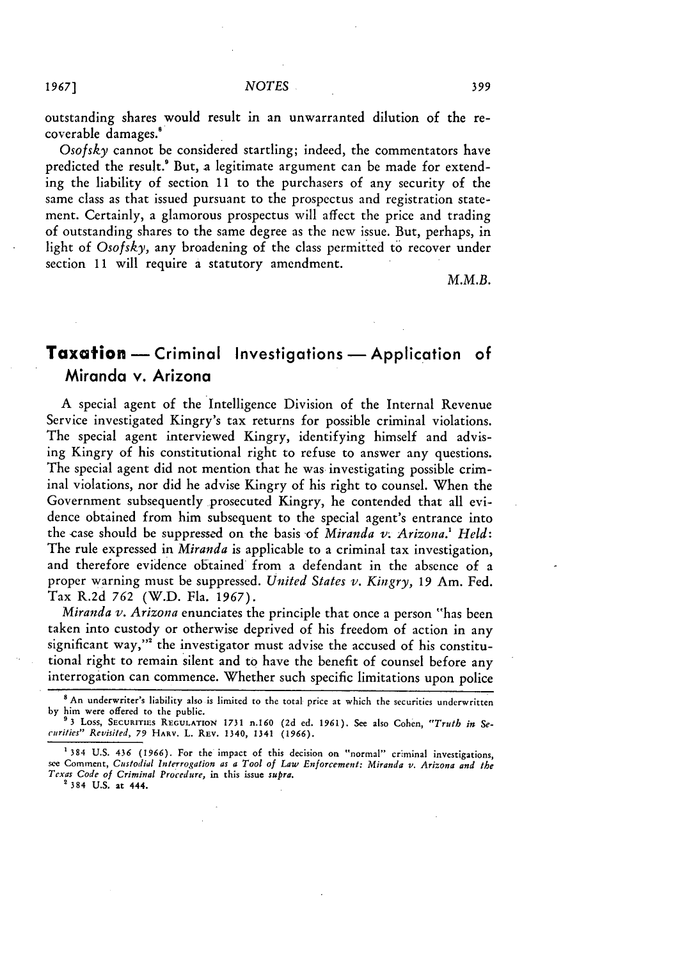outstanding shares would result in an unwarranted dilution of the recoverable damages.<sup>8</sup>

*Osofsky* cannot be considered startling; indeed, the commentators have predicted the result.' But, a legitimate argument can be made for extending the liability of section **11** to the purchasers of any security of the same class as that issued pursuant to the prospectus and registration statement. Certainly, a glamorous prospectus will affect the price and trading of outstanding shares to the same degree as the new issue. But, perhaps, in light of *Osofsky,* any broadening of the class permitted to recover under section **11** will require a statutory amendment.

*M.M.B.*

### **Taxation** - Criminal Investigations - Application of Miranda v. Arizona

A special agent of the Intelligence Division of the Internal Revenue Service investigated Kingry's tax returns for possible criminal violations. The special agent interviewed Kingry, identifying himself and advising Kingry of his constitutional right to refuse to answer any questions. The special agent did not mention that he was investigating possible criminal violations, nor did he advise Kingry of his right to counsel. When the Government subsequently prosecuted Kingry, he contended that all evidence obtained from him subsequent to the special agent's entrance into the case should be suppressed on the basis of *Miranda v. Arizona.' Held:* The rule expressed in *Miranda* is applicable to a criminal tax investigation, and therefore evidence obtained from a defendant in the absence of a proper warning must be suppressed. *United States v. Kingry,* **19** Am. Fed. Tax R.2d **762** (W.D. Fla. 1967).

*Miranda v. Arizona* enunciates the principle that once a person "has been taken into custody or otherwise deprived of his freedom of action in any significant way,"' the investigator must advise the accused of his constitutional right to remain silent and to have the benefit of counsel before any interrogation can commence. Whether such specific limitations upon police

*1967]*

**<sup>8</sup>**An underwriter's liability also is limited to the total price at which the securities underwritten by him were offered to the public.

**<sup>93</sup>** Loss, **SECURITIES REGULATION 1731** n.160 **(2d ed. 1961).** See also Cohen, *"Truth in Securities" Revisited, 79* **HARV. L. REV.** 1340, 1341 **(1966).**

<sup>&#</sup>x27;384 **U.S.** 436 **(1966).** For the impact of this decision on "normal" criminal investigations, see Comment, *Custodial Interrogation as a Tool of Law Enforcement: Miranda v. Arizona and the Texas Code* of Criminal *Procedure,* in this issue supra. **384 U.S.** at 444.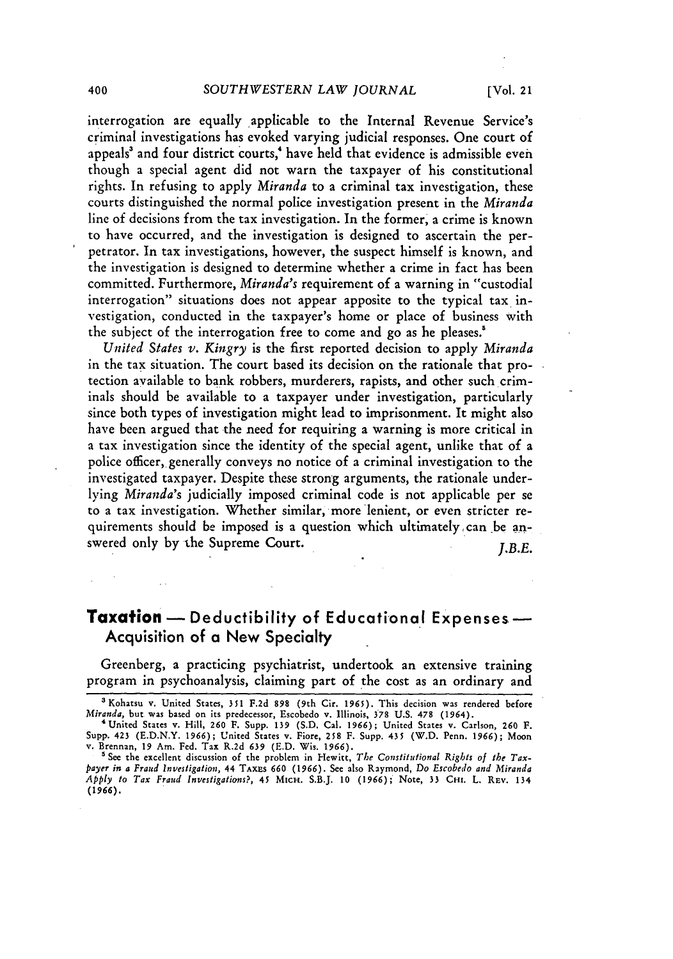interrogation are equally applicable to the Internal Revenue Service's criminal investigations has evoked varying judicial responses. One court of appeals' and four district courts,' have held that evidence is admissible even though a special agent did not warn the taxpayer of his constitutional rights. In refusing to apply *Miranda* to a criminal tax investigation, these courts distinguished the normal police investigation present in the *Miranda* line of decisions from the tax investigation. In the former, a crime is known to have occurred, and the investigation is designed to ascertain the perpetrator. In tax investigations, however, the suspect himself is known, and the investigation is designed to determine whether a crime in fact has been committed. Furthermore, *Miranda's* requirement of a warning in "custodial interrogation" situations does not appear apposite to the typical tax investigation, conducted in the taxpayer's home or place of business with the subject of the interrogation free to come and go as he pleases.'

*United States v. Kingry* is the first reported decision to apply *Miranda* in the tax situation. The court based its decision on the rationale that protection available to bank robbers, murderers, rapists, and other such criminals should be available to a taxpayer under investigation, particularly since both types of investigation might lead to imprisonment. It might also have been argued that the need for requiring a warning is more critical in a tax investigation since the identity of the special agent, unlike that of a police officer, generally conveys no notice of a criminal investigation to the investigated taxpayer. Despite these strong arguments, the rationale underlying *Miranda's* judicially imposed criminal code is not applicable per se to a tax investigation. Whether similar, more lenient, or even stricter requirements should be imposed is a question which ultimately, can be answered only by the Supreme Court. *J.B.E.*

#### **Taxation** - Deductibility of Educational Expenses -Acquisition of a New Specialty

Greenberg, a practicing psychiatrist, undertook an extensive training program in psychoanalysis, claiming part of the cost as an ordinary and

<sup>&</sup>lt;sup>3</sup> Kohatsu v. United States, 351 F.2d 898 (9th Cir. 1965). This decision was rendered before *Miranda,* but was based on its predecessor, Escobedo v. Illinois, **378** U.S. 478 (1964).

<sup>&#</sup>x27;United States v. Hill, 260 F. Supp. 139 (S.D. Cal. 1966); United States v. Carlson, **260** F. Supp. 423 (E.D.N.Y. 1966); United States v. Fiore, **258** F. Supp. *435* (W.D. Penn. 1966); Moon v. Brennan, 19 Am. Fed. Tax R.2d **639** (E.D. Wis. 1966).

<sup>&</sup>lt;sup>5</sup> See the excellent discussion of the problem in Hewitt, *The Constitutional Rights of the Tax*-*Payer in a Fraud Investigation,* 44 **TAxEs** 660 (1966). See also Raymond, Do *Escobedo and Miranda Apply to Tax Fraud Investigations?, 45* MicH. S.B.J. 10 (1966); Note, **33 CHI.** L. REV. **<sup>134</sup>** *(1966).*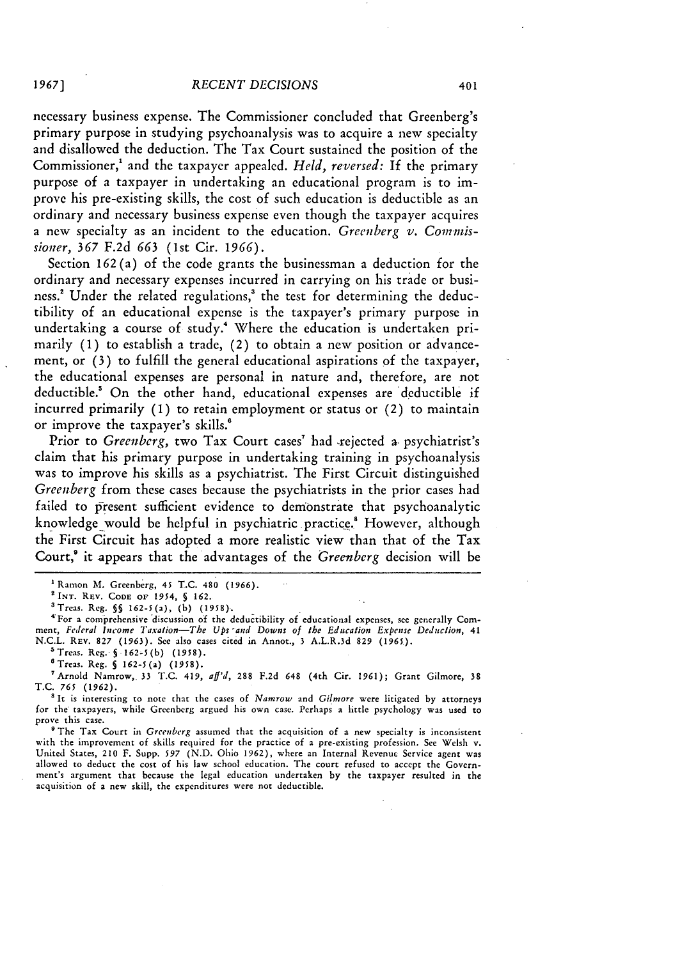necessary business expense. The Commissioner concluded that Greenberg's primary purpose in studying psychoanalysis was to acquire a new specialty and disallowed the deduction. The Tax Court sustained the position of the Commissioner,' and the taxpayer appealed. *Held, reversed:* If the primary purpose of a taxpayer in undertaking an educational program is to improve his pre-existing skills, the cost of such education is deductible as an ordinary and necessary business expense even though the taxpayer acquires a new specialty as an incident to the education. *Greenberg v. Conmis*sioner, 367 F.2d *663* (1st Cir. *1966).*

Section 162 (a) of the code grants the businessman a deduction for the ordinary and necessary expenses incurred in carrying on his trade or business.' Under the related regulations,' the test for determining the deductibility of an educational expense is the taxpayer's primary purpose in undertaking a course of study.4 Where the education is undertaken primarily (1) to establish a trade, (2) to obtain a new position or advancement, or (3) to fulfill the general educational aspirations of the taxpayer, the educational expenses are personal in nature and, therefore, are not deductible.<sup>5</sup> On the other hand, educational expenses are deductible if incurred primarily (1) to retain employment or status or (2) to maintain or improve the taxpayer's skills.'

Prior to *Greenberg*, two Tax Court cases<sup>7</sup> had rejected a psychiatrist's claim that his primary purpose in undertaking training in psychoanalysis was to improve his skills as a psychiatrist. The First Circuit distinguished *Greenberg* from these cases because the psychiatrists in the prior cases had failed to present sufficient evidence to demonstrate that psychoanalytic knowledge would be helpful in psychiatric practice.<sup>8</sup> However, although the First Circuit has adopted a more realistic view than that of the Tax Court,' it appears that the advantages of the *Greenberg* decision will be

<sup>4</sup> For a comprehensive discussion of the deductibility of educational expenses, see generally Comment, *Federal Income Taxation-The Ups -and Downs of the Education Expense Deduction,* <sup>41</sup> N.C.L. REV. 827 (1963). See also cases cited in Annot., **3** A.L.R.3d 829 (1965).

'Treas. Reg. **§ 162-5(b) (1958).**

eTreas. Reg. **§** 162-5(a) (1958).

'Arnold Namrow,. 33 T.C. 419, *aff'd,* 288 F.2d 648 (4th Cir. **1961);** Grant Gilmore, **38** T.C. *765* (1962).

<sup>8</sup> It is interesting to note that the cases of *Namrow* and *Gilmore* were litigated by attorneys for the taxpayers, while Greenberg argued his own case. Perhaps a little psychology was used to prove this case.

The Tax Court in *Greenberg* assumed that the acquisition of a new specialty is inconsistent with the improvement of skills required for the practice of a pre-existing profession. See Welsh v. United States, 210 F. Supp. *597* (N.D. Ohio 1962), where an Internal Revenue Service agent was allowed to deduct the cost of his law school education. The court refused to accept the Government's argument that because the legal education undertaken by the taxpayer resulted in the acquisition of a new skill, the expenditures were not deductible.

*1967]*

Ramon M. Greenberg, 45 T.C. 480 (1966). **INT.** REV. **CODE** OF 1954, **§** 162.

<sup>&#</sup>x27;Treas. Reg. **§§** 162-5(a), (b) **(1958).**